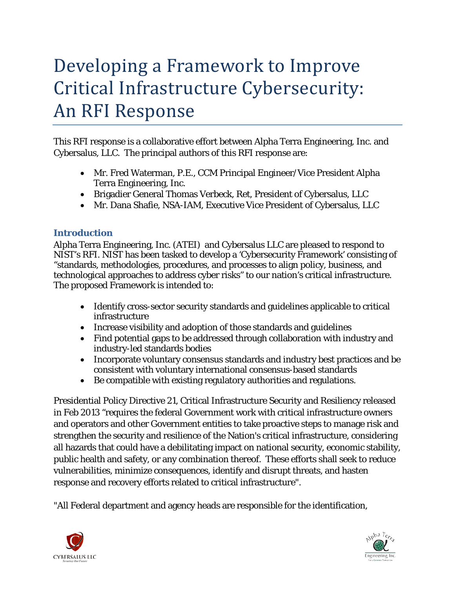# Developing a Framework to Improve Critical Infrastructure Cybersecurity: An RFI Response

This RFI response is a collaborative effort between Alpha Terra Engineering, Inc. and Cybersalus, LLC. The principal authors of this RFI response are:

- Mr. Fred Waterman, P.E., CCM Principal Engineer/Vice President Alpha Terra Engineering, Inc.
- Brigadier General Thomas Verbeck, Ret, President of Cybersalus, LLC
- Mr. Dana Shafie, NSA-IAM, Executive Vice President of Cybersalus, LLC

### **Introduction**

Alpha Terra Engineering, Inc. (ATEI) and Cybersalus LLC are pleased to respond to NIST's RFI. NIST has been tasked to develop a 'Cybersecurity Framework' consisting of "standards, methodologies, procedures, and processes to align policy, business, and technological approaches to address cyber risks" to our nation's critical infrastructure. The proposed Framework is intended to:

- Identify cross-sector security standards and guidelines applicable to critical infrastructure
- Increase visibility and adoption of those standards and guidelines
- Find potential gaps to be addressed through collaboration with industry and industry-led standards bodies
- Incorporate voluntary consensus standards and industry best practices and be consistent with voluntary international consensus-based standards
- Be compatible with existing regulatory authorities and regulations.

Presidential Policy Directive 21, Critical Infrastructure Security and Resiliency released in Feb 2013 "requires the federal Government work with critical infrastructure owners and operators and other Government entities to take proactive steps to manage risk and strengthen the security and resilience of the Nation's critical infrastructure, considering all hazards that could have a debilitating impact on national security, economic stability, public health and safety, or any combination thereof. These efforts shall seek to reduce vulnerabilities, minimize consequences, identify and disrupt threats, and hasten response and recovery efforts related to critical infrastructure".

"All Federal department and agency heads are responsible for the identification,



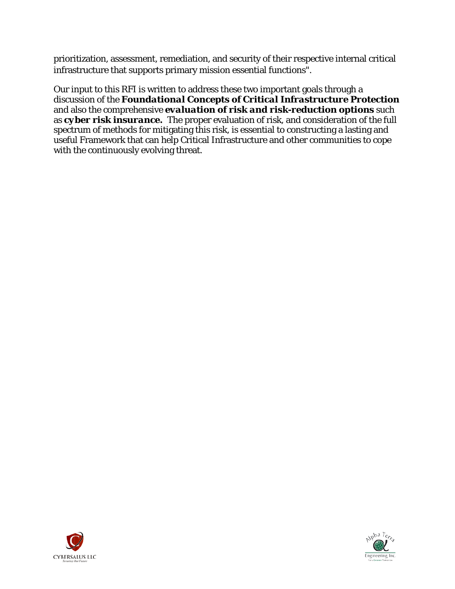prioritization, assessment, remediation, and security of their respective internal critical infrastructure that supports primary mission essential functions".

Our input to this RFI is written to address these two important goals through a discussion of the *Foundational Concepts of Critical Infrastructure Protection* and also the comprehensive *evaluation of risk and risk-reduction options* such as *cyber risk insurance.* The proper evaluation of risk, and consideration of the full spectrum of methods for mitigating this risk, is essential to constructing a lasting and useful Framework that can help Critical Infrastructure and other communities to cope with the continuously evolving threat.



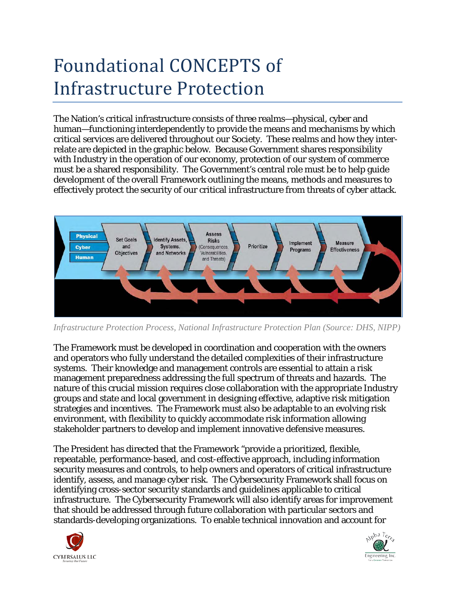# Foundational CONCEPTS of Infrastructure Protection

The Nation's critical infrastructure consists of three realms—physical, cyber and human—functioning interdependently to provide the means and mechanisms by which critical services are delivered throughout our Society. These realms and how they interrelate are depicted in the graphic below. Because Government shares responsibility with Industry in the operation of our economy, protection of our system of commerce must be a shared responsibility. The Government's central role must be to help guide development of the overall Framework outlining the means, methods and measures to effectively protect the security of our critical infrastructure from threats of cyber attack.



*Infrastructure Protection Process, National Infrastructure Protection Plan (Source: DHS, NIPP)*

The Framework must be developed in coordination and cooperation with the owners and operators who fully understand the detailed complexities of their infrastructure systems. Their knowledge and management controls are essential to attain a risk management preparedness addressing the full spectrum of threats and hazards. The nature of this crucial mission requires close collaboration with the appropriate Industry groups and state and local government in designing effective, adaptive risk mitigation strategies and incentives. The Framework must also be adaptable to an evolving risk environment, with flexibility to quickly accommodate risk information allowing stakeholder partners to develop and implement innovative defensive measures.

The President has directed that the Framework "provide a prioritized, flexible, repeatable, performance-based, and cost-effective approach, including information security measures and controls, to help owners and operators of critical infrastructure identify, assess, and manage cyber risk. The Cybersecurity Framework shall focus on identifying cross-sector security standards and guidelines applicable to critical infrastructure. The Cybersecurity Framework will also identify areas for improvement that should be addressed through future collaboration with particular sectors and standards-developing organizations. To enable technical innovation and account for



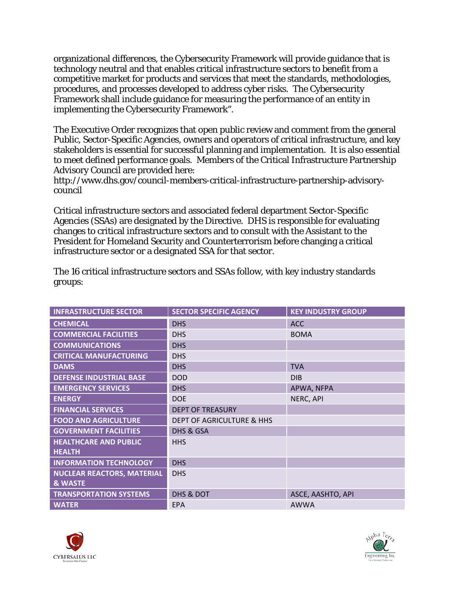organizational differences, the Cybersecurity Framework will provide guidance that is technology neutral and that enables critical infrastructure sectors to benefit from a competitive market for products and services that meet the standards, methodologies, procedures, and processes developed to address cyber risks. The Cybersecurity Framework shall include guidance for measuring the performance of an entity in implementing the Cybersecurity Framework".

The Executive Order recognizes that open public review and comment from the general Public, Sector-Specific Agencies, owners and operators of critical infrastructure, and key stakeholders is essential for successful planning and implementation. It is also essential to meet defined performance goals. Members of the Critical Infrastructure Partnership Advisory Council are provided here:

[http://www.dhs.gov/council-members-critical-infrastructure-partnership-advisory](http://www.dhs.gov/council-members-critical-infrastructure-partnership-advisory-council)[council](http://www.dhs.gov/council-members-critical-infrastructure-partnership-advisory-council)

Critical infrastructure sectors and associated federal department Sector-Specific Agencies (SSAs) are designated by the Directive. DHS is responsible for evaluating changes to critical infrastructure sectors and to consult with the Assistant to the President for Homeland Security and Counterterrorism before changing a critical infrastructure sector or a designated SSA for that sector.

| <b>INFRASTRUCTURE SECTOR</b>      | <b>SECTOR SPECIFIC AGENCY</b>        | <b>KEY INDUSTRY GROUP</b> |
|-----------------------------------|--------------------------------------|---------------------------|
| <b>CHEMICAL</b>                   | <b>DHS</b>                           | <b>ACC</b>                |
| <b>COMMERCIAL FACILITIES</b>      | <b>DHS</b>                           | <b>BOMA</b>               |
| <b>COMMUNICATIONS</b>             | <b>DHS</b>                           |                           |
| <b>CRITICAL MANUFACTURING</b>     | <b>DHS</b>                           |                           |
| <b>DAMS</b>                       | <b>DHS</b>                           | <b>TVA</b>                |
| <b>DEFENSE INDUSTRIAL BASE</b>    | <b>DOD</b>                           | <b>DIB</b>                |
| <b>EMERGENCY SERVICES</b>         | <b>DHS</b>                           | APWA, NFPA                |
| <b>ENERGY</b>                     | <b>DOE</b>                           | NERC, API                 |
| <b>FINANCIAL SERVICES</b>         | <b>DEPT OF TREASURY</b>              |                           |
| <b>FOOD AND AGRICULTURE</b>       | <b>DEPT OF AGRICULTURE &amp; HHS</b> |                           |
| <b>GOVERNMENT FACILITIES</b>      | DHS & GSA                            |                           |
| <b>HEALTHCARE AND PUBLIC</b>      | <b>HHS</b>                           |                           |
| <b>HEALTH</b>                     |                                      |                           |
| <b>INFORMATION TECHNOLOGY</b>     | <b>DHS</b>                           |                           |
| <b>NUCLEAR REACTORS, MATERIAL</b> | <b>DHS</b>                           |                           |
| <b>&amp; WASTE</b>                |                                      |                           |
| <b>TRANSPORTATION SYSTEMS</b>     | DHS & DOT                            | ASCE, AASHTO, API         |
| <b>WATER</b>                      | <b>EPA</b>                           | <b>AWWA</b>               |

The 16 critical infrastructure sectors and SSAs follow, with key industry standards groups:



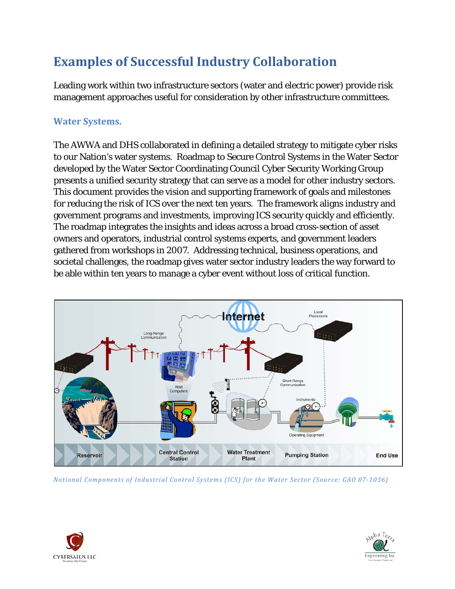### **Examples of Successful Industry Collaboration**

Leading work within two infrastructure sectors (water and electric power) provide risk management approaches useful for consideration by other infrastructure committees.

### **Water Systems.**

The AWWA and DHS collaborated in defining a detailed strategy to mitigate cyber risks to our Nation's water systems. Roadmap to Secure Control Systems in the Water Sector developed by the Water Sector Coordinating Council Cyber Security Working Group presents a unified security strategy that can serve as a model for other industry sectors. This document provides the vision and supporting framework of goals and milestones for reducing the risk of ICS over the next ten years. The framework aligns industry and government programs and investments, improving ICS security quickly and efficiently. The roadmap integrates the insights and ideas across a broad cross-section of asset owners and operators, industrial control systems experts, and government leaders gathered from workshops in 2007. Addressing technical, business operations, and societal challenges, the roadmap gives water sector industry leaders the way forward to be able within ten years to manage a cyber event without loss of critical function.



*Notional Components of Industrial Control Systems (ICS) for the Water Sector (Source: GAO 07-1036)*



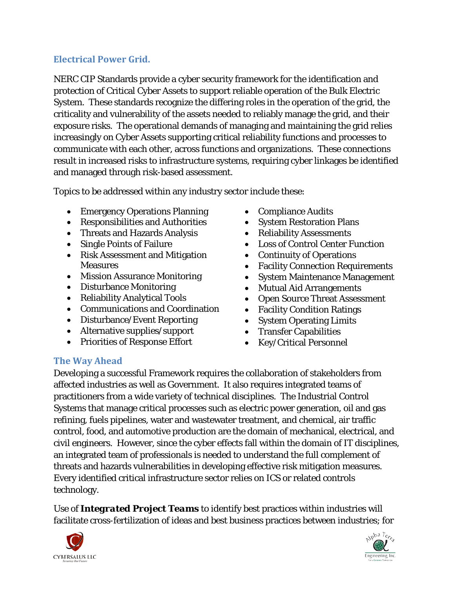### **Electrical Power Grid.**

NERC CIP Standards provide a cyber security framework for the identification and protection of Critical Cyber Assets to support reliable operation of the Bulk Electric System. These standards recognize the differing roles in the operation of the grid, the criticality and vulnerability of the assets needed to reliably manage the grid, and their exposure risks. The operational demands of managing and maintaining the grid relies increasingly on Cyber Assets supporting critical reliability functions and processes to communicate with each other, across functions and organizations. These connections result in increased risks to infrastructure systems, requiring cyber linkages be identified and managed through risk-based assessment.

Topics to be addressed within any industry sector include these:

- Emergency Operations Planning
- Responsibilities and Authorities
- Threats and Hazards Analysis
- Single Points of Failure
- Risk Assessment and Mitigation **Measures**
- Mission Assurance Monitoring
- Disturbance Monitoring
- Reliability Analytical Tools
- Communications and Coordination
- Disturbance/Event Reporting
- Alternative supplies/support
- Priorities of Response Effort
- Compliance Audits
- System Restoration Plans
- Reliability Assessments
- Loss of Control Center Function
- Continuity of Operations
- Facility Connection Requirements
- System Maintenance Management
- Mutual Aid Arrangements
- Open Source Threat Assessment
- Facility Condition Ratings
- System Operating Limits
- Transfer Capabilities
- Key/Critical Personnel

### **The Way Ahead**

Developing a successful Framework requires the collaboration of stakeholders from affected industries as well as Government. It also requires integrated teams of practitioners from a wide variety of technical disciplines. The Industrial Control Systems that manage critical processes such as electric power generation, oil and gas refining, fuels pipelines, water and wastewater treatment, and chemical, air traffic control, food, and automotive production are the domain of mechanical, electrical, and civil engineers. However, since the cyber effects fall within the domain of IT disciplines, an integrated team of professionals is needed to understand the full complement of threats and hazards vulnerabilities in developing effective risk mitigation measures. Every identified critical infrastructure sector relies on ICS or related controls technology.

Use of *Integrated Project Teams* to identify best practices within industries will facilitate cross-fertilization of ideas and best business practices between industries; for



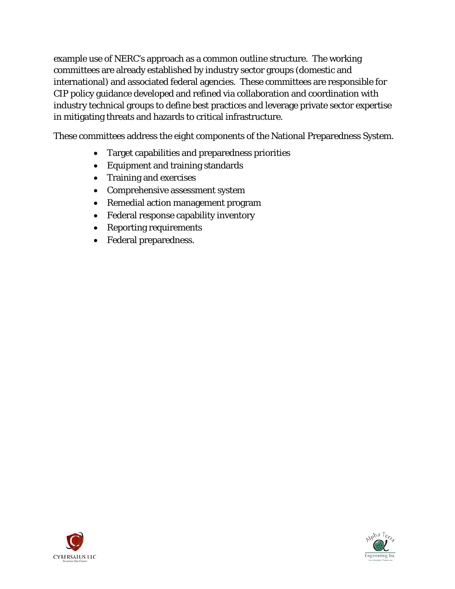example use of NERC's approach as a common outline structure. The working committees are already established by industry sector groups (domestic and international) and associated federal agencies. These committees are responsible for CIP policy guidance developed and refined via collaboration and coordination with industry technical groups to define best practices and leverage private sector expertise in mitigating threats and hazards to critical infrastructure.

These committees address the eight components of the National Preparedness System.

- Target capabilities and preparedness priorities
- Equipment and training standards
- Training and exercises
- Comprehensive assessment system
- Remedial action management program
- Federal response capability inventory
- Reporting requirements
- Federal preparedness.



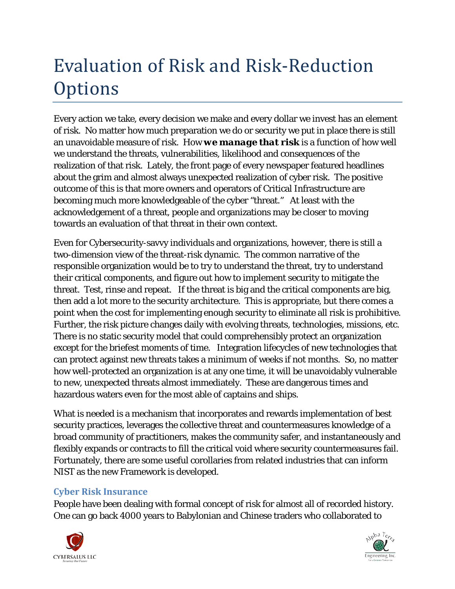# Evaluation of Risk and Risk-Reduction **Options**

Every action we take, every decision we make and every dollar we invest has an element of risk. No matter how much preparation we do or security we put in place there is still an unavoidable measure of risk. How *we manage that risk* is a function of how well we understand the threats, vulnerabilities, likelihood and consequences of the realization of that risk. Lately, the front page of every newspaper featured headlines about the grim and almost always unexpected realization of cyber risk. The positive outcome of this is that more owners and operators of Critical Infrastructure are becoming much more knowledgeable of the cyber "threat." At least with the acknowledgement of a threat, people and organizations may be closer to moving towards an evaluation of that threat in their own context.

Even for Cybersecurity-savvy individuals and organizations, however, there is still a two-dimension view of the threat-risk dynamic. The common narrative of the responsible organization would be to try to understand the threat, try to understand their critical components, and figure out how to implement security to mitigate the threat. Test, rinse and repeat. If the threat is big and the critical components are big, then add a lot more to the security architecture. This is appropriate, but there comes a point when the cost for implementing enough security to eliminate all risk is prohibitive. Further, the risk picture changes daily with evolving threats, technologies, missions, etc. There is no static security model that could comprehensibly protect an organization except for the briefest moments of time. Integration lifecycles of new technologies that can protect against new threats takes a minimum of weeks if not months. So, no matter how well-protected an organization is at any one time, it will be unavoidably vulnerable to new, unexpected threats almost immediately. These are dangerous times and hazardous waters even for the most able of captains and ships.

What is needed is a mechanism that incorporates and rewards implementation of best security practices, leverages the collective threat and countermeasures knowledge of a broad community of practitioners, makes the community safer, and instantaneously and flexibly expands or contracts to fill the critical void where security countermeasures fail. Fortunately, there are some useful corollaries from related industries that can inform NIST as the new Framework is developed.

### **Cyber Risk Insurance**

People have been dealing with formal concept of risk for almost all of recorded history. One can go back 4000 years to Babylonian and Chinese traders who collaborated to



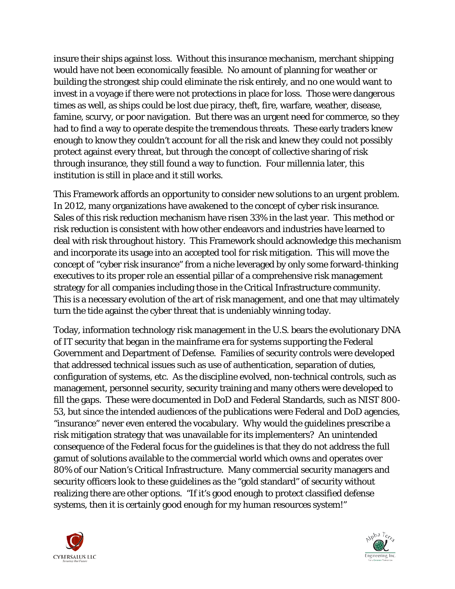insure their ships against loss. Without this insurance mechanism, merchant shipping would have not been economically feasible. No amount of planning for weather or building the strongest ship could eliminate the risk entirely, and no one would want to invest in a voyage if there were not protections in place for loss. Those were dangerous times as well, as ships could be lost due piracy, theft, fire, warfare, weather, disease, famine, scurvy, or poor navigation. But there was an urgent need for commerce, so they had to find a way to operate despite the tremendous threats. These early traders knew enough to know they couldn't account for all the risk and knew they could not possibly protect against every threat, but through the concept of collective sharing of risk through insurance, they still found a way to function. Four millennia later, this institution is still in place and it still works.

This Framework affords an opportunity to consider new solutions to an urgent problem. In 2012, many organizations have awakened to the concept of cyber risk insurance. Sales of this risk reduction mechanism have risen 33% in the last year. This method or risk reduction is consistent with how other endeavors and industries have learned to deal with risk throughout history. This Framework should acknowledge this mechanism and incorporate its usage into an accepted tool for risk mitigation. This will move the concept of "cyber risk insurance" from a niche leveraged by only some forward-thinking executives to its proper role an essential pillar of a comprehensive risk management strategy for all companies including those in the Critical Infrastructure community. This is a necessary evolution of the art of risk management, and one that may ultimately turn the tide against the cyber threat that is undeniably winning today.

Today, information technology risk management in the U.S. bears the evolutionary DNA of IT security that began in the mainframe era for systems supporting the Federal Government and Department of Defense. Families of security controls were developed that addressed technical issues such as use of authentication, separation of duties, configuration of systems, etc. As the discipline evolved, non-technical controls, such as management, personnel security, security training and many others were developed to fill the gaps. These were documented in DoD and Federal Standards, such as NIST 800- 53, but since the intended audiences of the publications were Federal and DoD agencies, "insurance" never even entered the vocabulary. Why would the guidelines prescribe a risk mitigation strategy that was unavailable for its implementers? An unintended consequence of the Federal focus for the guidelines is that they do not address the full gamut of solutions available to the commercial world which owns and operates over 80% of our Nation's Critical Infrastructure. Many commercial security managers and security officers look to these guidelines as the "gold standard" of security without realizing there are other options. "If it's good enough to protect classified defense systems, then it is certainly good enough for my human resources system!"



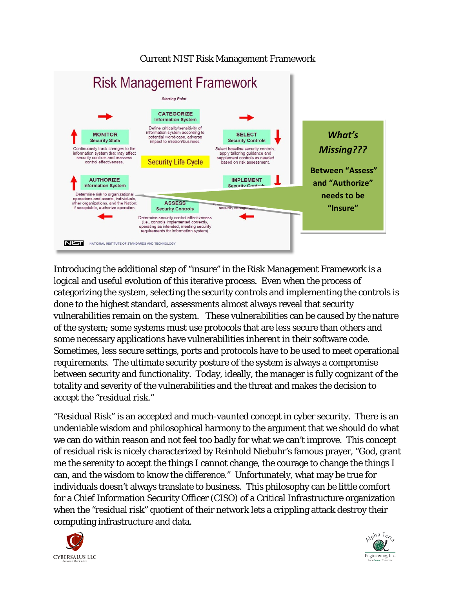#### Current NIST Risk Management Framework



Introducing the additional step of "insure" in the Risk Management Framework is a logical and useful evolution of this iterative process. Even when the process of categorizing the system, selecting the security controls and implementing the controls is done to the highest standard, assessments almost always reveal that security vulnerabilities remain on the system. These vulnerabilities can be caused by the nature of the system; some systems must use protocols that are less secure than others and some necessary applications have vulnerabilities inherent in their software code. Sometimes, less secure settings, ports and protocols have to be used to meet operational requirements. The ultimate security posture of the system is always a compromise between security and functionality. Today, ideally, the manager is fully cognizant of the totality and severity of the vulnerabilities and the threat and makes the decision to accept the "residual risk."

"Residual Risk" is an accepted and much-vaunted concept in cyber security. There is an undeniable wisdom and philosophical harmony to the argument that we should do what we can do within reason and not feel too badly for what we can't improve. This concept of residual risk is nicely characterized by Reinhold Niebuhr's famous prayer, "God, grant me the serenity to accept the things I cannot change, the courage to change the things I can, and the wisdom to know the difference." Unfortunately, what may be true for individuals doesn't always translate to business. This philosophy can be little comfort for a Chief Information Security Officer (CISO) of a Critical Infrastructure organization when the "residual risk" quotient of their network lets a crippling attack destroy their computing infrastructure and data.



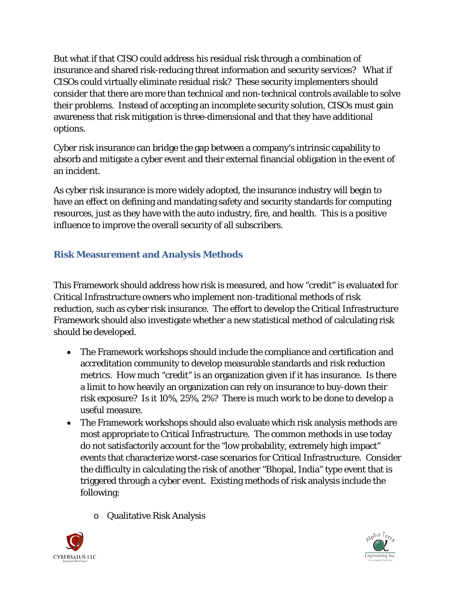But what if that CISO could address his residual risk through a combination of insurance and shared risk-reducing threat information and security services? What if CISOs could virtually eliminate residual risk? These security implementers should consider that there are more than technical and non-technical controls available to solve their problems. Instead of accepting an incomplete security solution, CISOs must gain awareness that risk mitigation is three-dimensional and that they have additional options.

Cyber risk insurance can bridge the gap between a company's intrinsic capability to absorb and mitigate a cyber event and their external financial obligation in the event of an incident.

As cyber risk insurance is more widely adopted, the insurance industry will begin to have an effect on defining and mandating safety and security standards for computing resources, just as they have with the auto industry, fire, and health. This is a positive influence to improve the overall security of all subscribers.

### **Risk Measurement and Analysis Methods**

This Framework should address how risk is measured, and how "credit" is evaluated for Critical Infrastructure owners who implement non-traditional methods of risk reduction, such as cyber risk insurance. The effort to develop the Critical Infrastructure Framework should also investigate whether a new statistical method of calculating risk should be developed.

- The Framework workshops should include the compliance and certification and accreditation community to develop measurable standards and risk reduction metrics. How much "credit" is an organization given if it has insurance. Is there a limit to how heavily an organization can rely on insurance to buy-down their risk exposure? Is it 10%, 25%, 2%? There is much work to be done to develop a useful measure.
- The Framework workshops should also evaluate which risk analysis methods are most appropriate to Critical Infrastructure. The common methods in use today do not satisfactorily account for the "low probability, extremely high impact" events that characterize worst-case scenarios for Critical Infrastructure. Consider the difficulty in calculating the risk of another "Bhopal, India" type event that is triggered through a cyber event. Existing methods of risk analysis include the following:
	- o Qualitative Risk Analysis



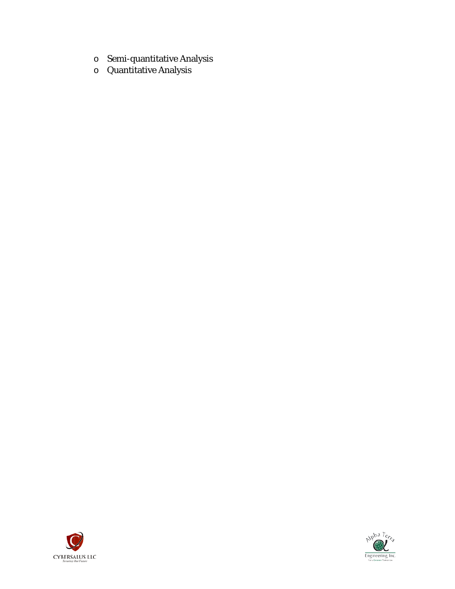- o Semi-quantitative Analysis
- o Quantitative Analysis



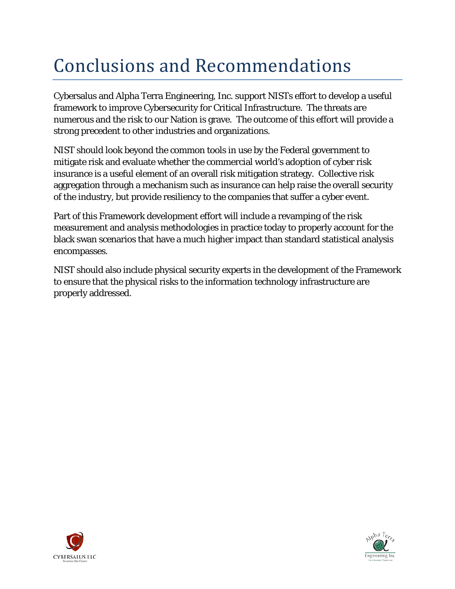# Conclusions and Recommendations

Cybersalus and Alpha Terra Engineering, Inc. support NISTs effort to develop a useful framework to improve Cybersecurity for Critical Infrastructure. The threats are numerous and the risk to our Nation is grave. The outcome of this effort will provide a strong precedent to other industries and organizations.

NIST should look beyond the common tools in use by the Federal government to mitigate risk and evaluate whether the commercial world's adoption of cyber risk insurance is a useful element of an overall risk mitigation strategy. Collective risk aggregation through a mechanism such as insurance can help raise the overall security of the industry, but provide resiliency to the companies that suffer a cyber event.

Part of this Framework development effort will include a revamping of the risk measurement and analysis methodologies in practice today to properly account for the black swan scenarios that have a much higher impact than standard statistical analysis encompasses.

NIST should also include physical security experts in the development of the Framework to ensure that the physical risks to the information technology infrastructure are properly addressed.



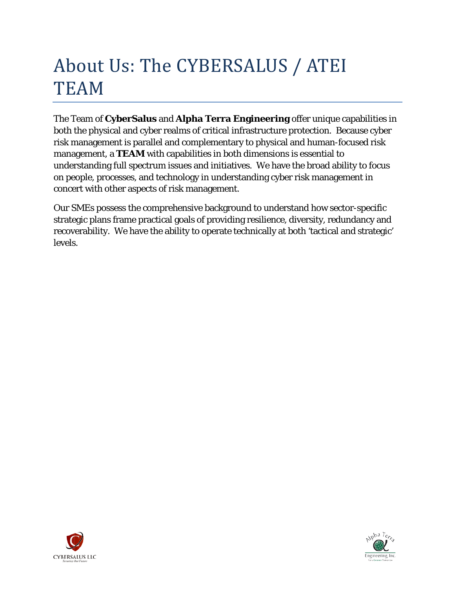# About Us: The CYBERSALUS / ATEI TEAM

The Team of **CyberSalus** and **Alpha Terra Engineering** offer unique capabilities in both the physical and cyber realms of critical infrastructure protection. Because cyber risk management is parallel and complementary to physical and human-focused risk management, a **TEAM** with capabilities in both dimensions is essential to understanding full spectrum issues and initiatives. We have the broad ability to focus on people, processes, and technology in understanding cyber risk management in concert with other aspects of risk management.

Our SMEs possess the comprehensive background to understand how sector-specific strategic plans frame practical goals of providing resilience, diversity, redundancy and recoverability. We have the ability to operate technically at both 'tactical and strategic' levels.



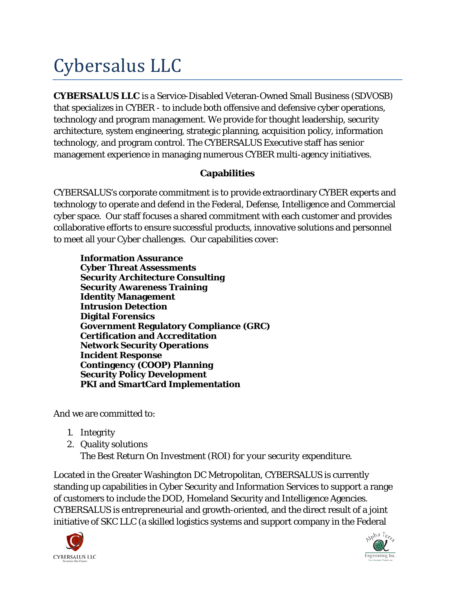# Cybersalus LLC

**CYBERSALUS LLC** is a Service-Disabled Veteran-Owned Small Business (SDVOSB) that specializes in CYBER - to include both offensive and defensive cyber operations, technology and program management. We provide for thought leadership, security architecture, system engineering, strategic planning, acquisition policy, information technology, and program control. The CYBERSALUS Executive staff has senior management experience in managing numerous CYBER multi-agency initiatives.

### **Capabilities**

CYBERSALUS's corporate commitment is to provide extraordinary CYBER experts and technology to operate and defend in the Federal, Defense, Intelligence and Commercial cyber space. Our staff focuses a shared commitment with each customer and provides collaborative efforts to ensure successful products, innovative solutions and personnel to meet all your Cyber challenges. Our capabilities cover:

**Information Assurance Cyber Threat Assessments Security Architecture Consulting Security Awareness Training Identity Management Intrusion Detection Digital Forensics Government Regulatory Compliance (GRC) Certification and Accreditation Network Security Operations Incident Response Contingency (COOP) Planning Security Policy Development PKI and SmartCard Implementation**

And we are committed to:

- 1. Integrity
- 2. Quality solutions *The Best Return On Investment (ROI) for your security expenditure.*

Located in the Greater Washington DC Metropolitan, CYBERSALUS is currently standing up capabilities in Cyber Security and Information Services to support a range of customers to include the DOD, Homeland Security and Intelligence Agencies. CYBERSALUS is entrepreneurial and growth-oriented, and the direct result of a joint initiative of SKC LLC (a skilled logistics systems and support company in the Federal



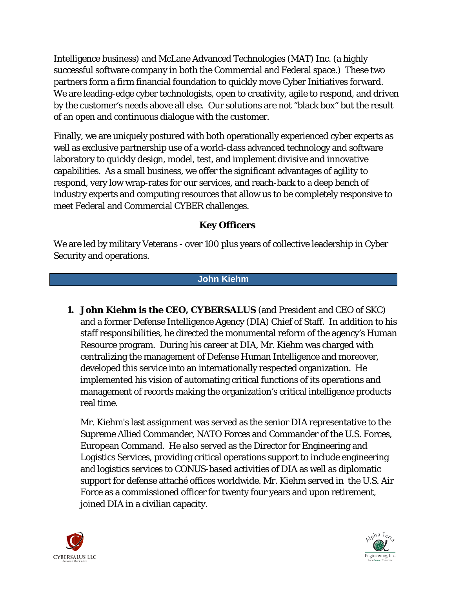Intelligence business) and McLane Advanced Technologies (MAT) Inc. (a highly successful software company in both the Commercial and Federal space.) These two partners form a firm financial foundation to quickly move Cyber Initiatives forward. We are leading-edge cyber technologists, open to creativity, agile to respond, and driven by the customer's needs above all else. Our solutions are not "black box" but the result of an open and continuous dialogue with the customer.

Finally, we are uniquely postured with both operationally experienced cyber experts as well as exclusive partnership use of a world-class advanced technology and software laboratory to quickly design, model, test, and implement divisive and innovative capabilities. As a small business, we offer the significant advantages of agility to respond, very low wrap-rates for our services, and reach-back to a deep bench of industry experts and computing resources that allow us to be completely responsive to meet Federal and Commercial CYBER challenges.

### **Key Officers**

We are led by military Veterans - over 100 plus years of collective leadership in Cyber Security and operations.

#### **John Kiehm**

**1. John Kiehm is the CEO, CYBERSALUS** (and President and CEO of SKC) and a former Defense Intelligence Agency (DIA) Chief of Staff. In addition to his staff responsibilities, he directed the monumental reform of the agency's Human Resource program. During his career at DIA, Mr. Kiehm was charged with centralizing the management of Defense Human Intelligence and moreover, developed this service into an internationally respected organization. He implemented his vision of automating critical functions of its operations and management of records making the organization's critical intelligence products real time.

Mr. Kiehm's last assignment was served as the senior DIA representative to the Supreme Allied Commander, NATO Forces and Commander of the U.S. Forces, European Command. He also served as the Director for Engineering and Logistics Services, providing critical operations support to include engineering and logistics services to CONUS-based activities of DIA as well as diplomatic support for defense attaché offices worldwide. Mr. Kiehm served in the U.S. Air Force as a commissioned officer for twenty four years and upon retirement, joined DIA in a civilian capacity.



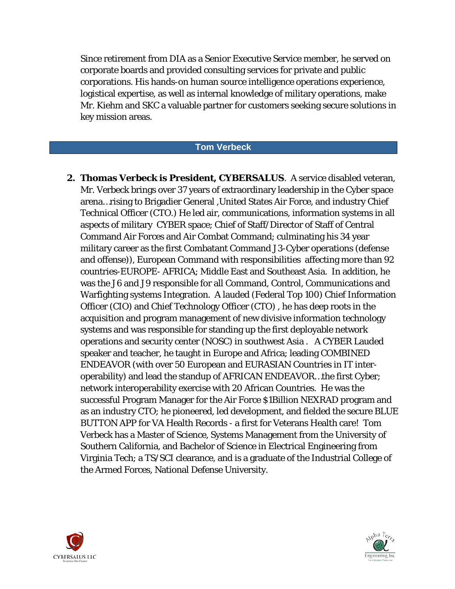Since retirement from DIA as a Senior Executive Service member, he served on corporate boards and provided consulting services for private and public corporations. His hands-on human source intelligence operations experience, logistical expertise, as well as internal knowledge of military operations, make Mr. Kiehm and SKC a valuable partner for customers seeking secure solutions in key mission areas.

#### **Tom Verbeck**

**2. Thomas Verbeck is President, CYBERSALUS**. A service disabled veteran, Mr. Verbeck brings over 37 years of extraordinary leadership in the Cyber space arena…rising to Brigadier General ,United States Air Force, and industry Chief Technical Officer (CTO.) He led air, communications, information systems in all aspects of military CYBER space; Chief of Staff/Director of Staff of Central Command Air Forces and Air Combat Command; culminating his 34 year military career as the first Combatant Command J3-Cyber operations (defense and offense)), European Command with responsibilities affecting more than 92 countries-EUROPE- AFRICA; Middle East and Southeast Asia. In addition, he was the J6 and J9 responsible for all Command, Control, Communications and Warfighting systems Integration. A lauded (Federal Top 100) Chief Information Officer (CIO) and Chief Technology Officer (CTO) , he has deep roots in the acquisition and program management of new divisive information technology systems and was responsible for standing up the first deployable network operations and security center (NOSC) in southwest Asia . A CYBER Lauded speaker and teacher, he taught in Europe and Africa; leading COMBINED ENDEAVOR (with over 50 European and EURASIAN Countries in IT interoperability) and lead the standup of AFRICAN ENDEAVOR…the first Cyber; network interoperability exercise with 20 African Countries. He was the successful Program Manager for the Air Force \$1Billion NEXRAD program and as an industry CTO; he pioneered, led development, and fielded the secure BLUE BUTTON APP for VA Health Records - a first for Veterans Health care! Tom Verbeck has a Master of Science, Systems Management from the University of Southern California, and Bachelor of Science in Electrical Engineering from Virginia Tech; a TS/SCI clearance, and is a graduate of the Industrial College of the Armed Forces, National Defense University.



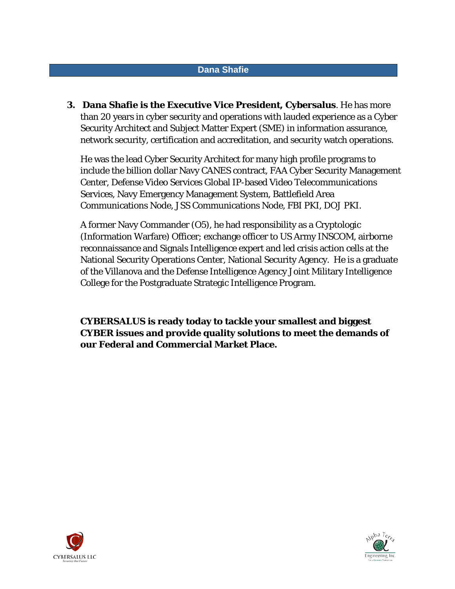#### **Dana Shafie**

**3. Dana Shafie is the Executive Vice President, Cybersalus**. He has more than 20 years in cyber security and operations with lauded experience as a Cyber Security Architect and Subject Matter Expert (SME) in information assurance, network security, certification and accreditation, and security watch operations.

He was the lead Cyber Security Architect for many high profile programs to include the billion dollar Navy CANES contract, FAA Cyber Security Management Center, Defense Video Services Global IP-based Video Telecommunications Services, Navy Emergency Management System, Battlefield Area Communications Node, JSS Communications Node, FBI PKI, DOJ PKI.

A former Navy Commander (O5), he had responsibility as a Cryptologic (Information Warfare) Officer; exchange officer to US Army INSCOM, airborne reconnaissance and Signals Intelligence expert and led crisis action cells at the National Security Operations Center, National Security Agency. He is a graduate of the Villanova and the Defense Intelligence Agency Joint Military Intelligence College for the Postgraduate Strategic Intelligence Program.

**CYBERSALUS is ready today to tackle your smallest and biggest CYBER issues and provide quality solutions to meet the demands of our Federal and Commercial Market Place.**



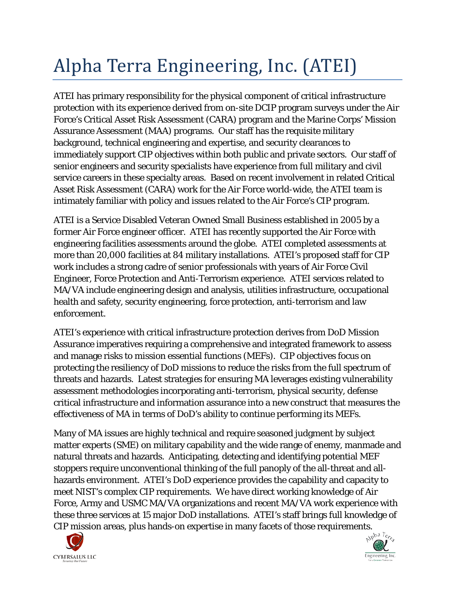# Alpha Terra Engineering, Inc. (ATEI)

ATEI has primary responsibility for the physical component of critical infrastructure protection with its experience derived from on-site DCIP program surveys under the Air Force's Critical Asset Risk Assessment (CARA) program and the Marine Corps' Mission Assurance Assessment (MAA) programs. Our staff has the requisite military background, technical engineering and expertise, and security clearances to immediately support CIP objectives within both public and private sectors. Our staff of senior engineers and security specialists have experience from full military and civil service careers in these specialty areas. Based on recent involvement in related Critical Asset Risk Assessment (CARA) work for the Air Force world-wide, the ATEI team is intimately familiar with policy and issues related to the Air Force's CIP program.

ATEI is a Service Disabled Veteran Owned Small Business established in 2005 by a former Air Force engineer officer. ATEI has recently supported the Air Force with engineering facilities assessments around the globe. ATEI completed assessments at more than 20,000 facilities at 84 military installations. ATEI's proposed staff for CIP work includes a strong cadre of senior professionals with years of Air Force Civil Engineer, Force Protection and Anti-Terrorism experience. ATEI services related to MA/VA include engineering design and analysis, utilities infrastructure, occupational health and safety, security engineering, force protection, anti-terrorism and law enforcement.

ATEI's experience with critical infrastructure protection derives from DoD Mission Assurance imperatives requiring a comprehensive and integrated framework to assess and manage risks to mission essential functions (MEFs). CIP objectives focus on protecting the resiliency of DoD missions to reduce the risks from the full spectrum of threats and hazards. Latest strategies for ensuring MA leverages existing vulnerability assessment methodologies incorporating anti-terrorism, physical security, defense critical infrastructure and information assurance into a new construct that measures the effectiveness of MA in terms of DoD's ability to continue performing its MEFs.

Many of MA issues are highly technical and require seasoned judgment by subject matter experts (SME) on military capability and the wide range of enemy, manmade and natural threats and hazards. Anticipating, detecting and identifying potential MEF stoppers require unconventional thinking of the full panoply of the all-threat and allhazards environment. ATEI's DoD experience provides the capability and capacity to meet NIST's complex CIP requirements. We have direct working knowledge of Air Force, Army and USMC MA/VA organizations and recent MA/VA work experience with these three services at 15 major DoD installations. ATEI's staff brings full knowledge of CIP mission areas, plus hands-on expertise in many facets of those requirements.



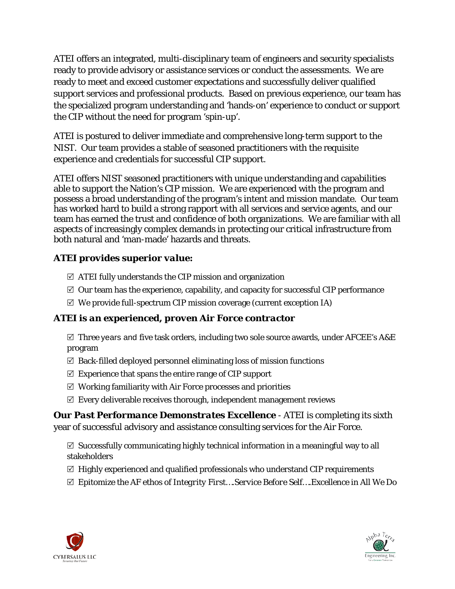ATEI offers an integrated, multi-disciplinary team of engineers and security specialists ready to provide advisory or assistance services or conduct the assessments. We are ready to meet and exceed customer expectations and successfully deliver qualified support services and professional products. Based on previous experience, our team has the specialized program understanding and 'hands-on' experience to conduct or support the CIP without the need for program 'spin-up'.

ATEI is postured to deliver immediate and comprehensive long-term support to the NIST. Our team provides a stable of seasoned practitioners with the requisite experience and credentials for successful CIP support.

ATEI offers NIST seasoned practitioners with unique understanding and capabilities able to support the Nation's CIP mission. We are experienced with the program and possess a broad understanding of the program's intent and mission mandate. Our team has worked hard to build a strong rapport with all services and service agents, and our team has earned the trust and confidence of both organizations. We are familiar with all aspects of increasingly complex demands in protecting our critical infrastructure from both natural and 'man-made' hazards and threats.

### *ATEI provides superior value:*

- $\boxtimes$  ATEI fully understands the CIP mission and organization
- $\boxtimes$  Our team has the experience, capability, and capacity for successful CIP performance
- $\mathbb Z$  We provide full-spectrum CIP mission coverage (current exception IA)

### *ATEI is an experienced, proven Air Force contractor*

 $\boxtimes$  Three years and five task orders, including two sole source awards, under AFCEE's A&E program

- $\boxtimes$  Back-filled deployed personnel eliminating loss of mission functions
- $\mathbb Z$  Experience that spans the entire range of CIP support
- $\boxtimes$  Working familiarity with Air Force processes and priorities
- $\mathbb Z$  Every deliverable receives thorough, independent management reviews

*Our Past Performance Demonstrates Excellence* - ATEI is completing its sixth year of successful advisory and assistance consulting services for the Air Force.

 $\boxtimes$  Successfully communicating highly technical information in a meaningful way to all stakeholders

- $\boxtimes$  Highly experienced and qualified professionals who understand CIP requirements
- Epitomize the AF ethos of *Integrity First….Service Before Self….Excellence in All We Do*



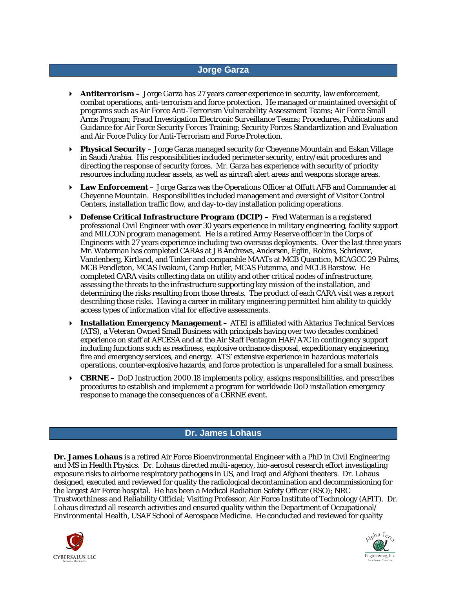#### **Jorge Garza**

- **Antiterrorism –** Jorge Garza has 27 years career experience in security, law enforcement, combat operations, anti-terrorism and force protection. He managed or maintained oversight of programs such as Air Force Anti-Terrorism Vulnerability Assessment Teams; Air Force Small Arms Program; Fraud Investigation Electronic Surveillance Teams; Procedures, Publications and Guidance for Air Force Security Forces Training; Security Forces Standardization and Evaluation and Air Force Policy for Anti-Terrorism and Force Protection.
- **Physical Security**  Jorge Garza managed security for Cheyenne Mountain and Eskan Village in Saudi Arabia. His responsibilities included perimeter security, entry/exit procedures and directing the response of security forces. Mr. Garza has experience with security of priority resources including nuclear assets, as well as aircraft alert areas and weapons storage areas.
- **Law Enforcement** Jorge Garza was the Operations Officer at Offutt AFB and Commander at Cheyenne Mountain. Responsibilities included management and oversight of Visitor Control Centers, installation traffic flow, and day-to-day installation policing operations.
- **Defense Critical Infrastructure Program (DCIP) –** Fred Waterman is a registered professional Civil Engineer with over 30 years experience in military engineering, facility support and MILCON program management. He is a retired Army Reserve officer in the Corps of Engineers with 27 years experience including two overseas deployments. Over the last three years Mr. Waterman has completed CARAs at JB Andrews, Andersen, Eglin, Robins, Schriever, Vandenberg, Kirtland, and Tinker and comparable MAATs at MCB Quantico, MCAGCC 29 Palms, MCB Pendleton, MCAS Iwakuni, Camp Butler, MCAS Futenma, and MCLB Barstow. He completed CARA visits collecting data on utility and other critical nodes of infrastructure, assessing the threats to the infrastructure supporting key mission of the installation, and determining the risks resulting from those threats. The product of each CARA visit was a report describing those risks. Having a career in military engineering permitted him ability to quickly access types of information vital for effective assessments.
- **Installation Emergency Management –** ATEI is affiliated with Aktarius Technical Services (ATS), a Veteran Owned Small Business with principals having over two decades combined experience on staff at AFCESA and at the Air Staff Pentagon HAF/A7C in contingency support including functions such as readiness, explosive ordnance disposal, expeditionary engineering, fire and emergency services, and energy. ATS' extensive experience in hazardous materials operations, counter-explosive hazards, and force protection is unparalleled for a small business.
- **CBRNE –** DoD Instruction 2000.18 implements policy, assigns responsibilities, and prescribes procedures to establish and implement a program for worldwide DoD installation emergency response to manage the consequences of a CBRNE event.

#### **Dr. James Lohaus**

**Dr. James Lohaus** is a retired Air Force Bioenvironmental Engineer with a PhD in Civil Engineering and MS in Health Physics. Dr. Lohaus directed multi-agency, bio-aerosol research effort investigating exposure risks to airborne respiratory pathogens in US, and Iraqi and Afghani theaters. Dr. Lohaus designed, executed and reviewed for quality the radiological decontamination and decommissioning for the largest Air Force hospital. He has been a Medical Radiation Safety Officer (RSO); NRC Trustworthiness and Reliability Official; Visiting Professor, Air Force Institute of Technology (AFIT). Dr. Lohaus directed all research activities and ensured quality within the Department of Occupational/ Environmental Health, USAF School of Aerospace Medicine. He conducted and reviewed for quality